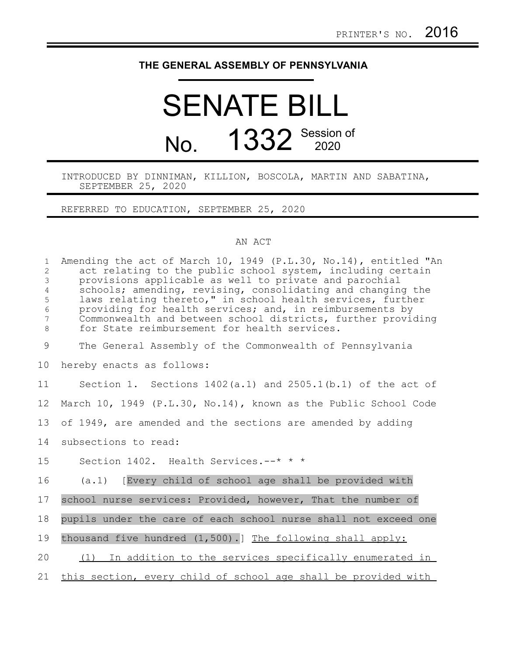## **THE GENERAL ASSEMBLY OF PENNSYLVANIA**

## SENATE BILL No. 1332 Session of

INTRODUCED BY DINNIMAN, KILLION, BOSCOLA, MARTIN AND SABATINA, SEPTEMBER 25, 2020

REFERRED TO EDUCATION, SEPTEMBER 25, 2020

## AN ACT

| $\mathbf{1}$<br>$\overline{2}$<br>$\mathfrak{Z}$<br>$\overline{4}$<br>5<br>$\epsilon$<br>7<br>$\,8\,$ | Amending the act of March 10, 1949 (P.L.30, No.14), entitled "An<br>act relating to the public school system, including certain<br>provisions applicable as well to private and parochial<br>schools; amending, revising, consolidating and changing the<br>laws relating thereto," in school health services, further<br>providing for health services; and, in reimbursements by<br>Commonwealth and between school districts, further providing<br>for State reimbursement for health services. |
|-------------------------------------------------------------------------------------------------------|----------------------------------------------------------------------------------------------------------------------------------------------------------------------------------------------------------------------------------------------------------------------------------------------------------------------------------------------------------------------------------------------------------------------------------------------------------------------------------------------------|
| $\mathcal{G}$                                                                                         | The General Assembly of the Commonwealth of Pennsylvania                                                                                                                                                                                                                                                                                                                                                                                                                                           |
| 10                                                                                                    | hereby enacts as follows:                                                                                                                                                                                                                                                                                                                                                                                                                                                                          |
| 11                                                                                                    | Section 1. Sections $1402(a.1)$ and $2505.1(b.1)$ of the act of                                                                                                                                                                                                                                                                                                                                                                                                                                    |
| 12                                                                                                    | March 10, 1949 (P.L.30, No.14), known as the Public School Code                                                                                                                                                                                                                                                                                                                                                                                                                                    |
| 13                                                                                                    | of 1949, are amended and the sections are amended by adding                                                                                                                                                                                                                                                                                                                                                                                                                                        |
| 14                                                                                                    | subsections to read:                                                                                                                                                                                                                                                                                                                                                                                                                                                                               |
| 15                                                                                                    | Section 1402. Health Services.--* * *                                                                                                                                                                                                                                                                                                                                                                                                                                                              |
| 16                                                                                                    | (a.1) [Every child of school age shall be provided with                                                                                                                                                                                                                                                                                                                                                                                                                                            |
| 17                                                                                                    | school nurse services: Provided, however, That the number of                                                                                                                                                                                                                                                                                                                                                                                                                                       |
| 18                                                                                                    | pupils under the care of each school nurse shall not exceed one                                                                                                                                                                                                                                                                                                                                                                                                                                    |
| 19                                                                                                    | thousand five hundred (1,500).] The following shall apply:                                                                                                                                                                                                                                                                                                                                                                                                                                         |
| 20                                                                                                    | (1) In addition to the services specifically enumerated in                                                                                                                                                                                                                                                                                                                                                                                                                                         |
| 21                                                                                                    | this section, every child of school age shall be provided with                                                                                                                                                                                                                                                                                                                                                                                                                                     |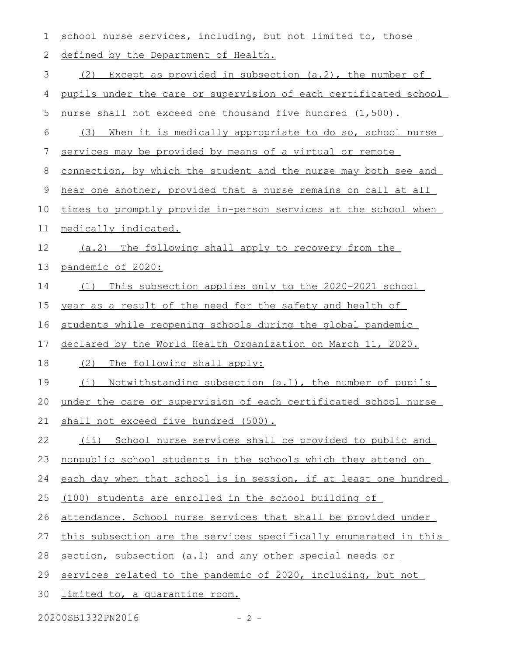| 1  | school nurse services, including, but not limited to, those      |
|----|------------------------------------------------------------------|
| 2  | defined by the Department of Health.                             |
| 3  | Except as provided in subsection $(a.2)$ , the number of<br>(2)  |
| 4  | pupils under the care or supervision of each certificated school |
| 5  | nurse shall not exceed one thousand five hundred (1,500).        |
| 6  | (3) When it is medically appropriate to do so, school nurse      |
| 7  | services may be provided by means of a virtual or remote         |
| 8  | connection, by which the student and the nurse may both see and  |
| 9  | hear one another, provided that a nurse remains on call at all   |
| 10 | times to promptly provide in-person services at the school when  |
| 11 | medically indicated.                                             |
| 12 | (a.2) The following shall apply to recovery from the             |
| 13 | pandemic of 2020:                                                |
| 14 | (1) This subsection applies only to the 2020-2021 school         |
| 15 | year as a result of the need for the safety and health of        |
| 16 | students while reopening schools during the global pandemic      |
| 17 | declared by the World Health Organization on March 11, 2020.     |
| 18 | (2)<br>The following shall apply:                                |
| 19 | (i)<br>Notwithstanding subsection (a.1), the number of pupils    |
| 20 | under the care or supervision of each certificated school nurse  |
| 21 | shall not exceed five hundred (500).                             |
| 22 | (ii) School nurse services shall be provided to public and       |
| 23 | nonpublic school students in the schools which they attend on    |
| 24 | each day when that school is in session, if at least one hundred |
| 25 | (100) students are enrolled in the school building of            |
| 26 | attendance. School nurse services that shall be provided under   |
| 27 | this subsection are the services specifically enumerated in this |
| 28 | section, subsection (a.1) and any other special needs or         |
| 29 | services related to the pandemic of 2020, including, but not     |
|    |                                                                  |

20200SB1332PN2016 - 2 -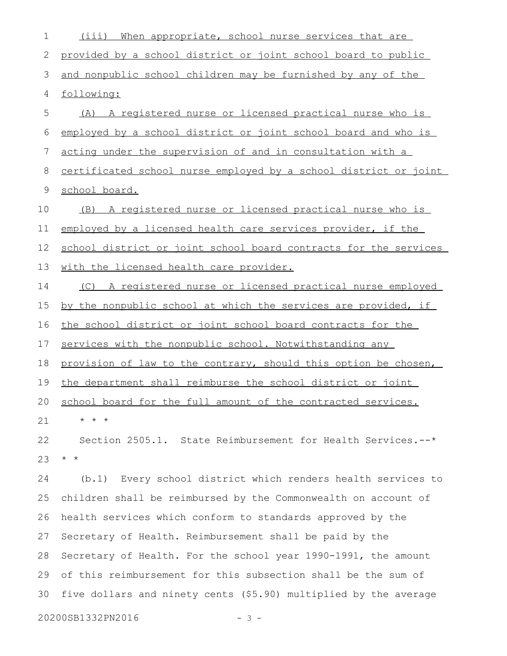(iii) When appropriate, school nurse services that are provided by a school district or joint school board to public and nonpublic school children may be furnished by any of the following: (A) A registered nurse or licensed practical nurse who is employed by a school district or joint school board and who is acting under the supervision of and in consultation with a certificated school nurse employed by a school district or joint school board. (B) A registered nurse or licensed practical nurse who is employed by a licensed health care services provider, if the school district or joint school board contracts for the services with the licensed health care provider. (C) A registered nurse or licensed practical nurse employed by the nonpublic school at which the services are provided, if the school district or joint school board contracts for the services with the nonpublic school. Notwithstanding any provision of law to the contrary, should this option be chosen, the department shall reimburse the school district or joint school board for the full amount of the contracted services.  $\star$   $\hspace{0.1cm} \star$   $\hspace{0.1cm} \star$ Section 2505.1. State Reimbursement for Health Services.--\* \* \* (b.1) Every school district which renders health services to children shall be reimbursed by the Commonwealth on account of health services which conform to standards approved by the Secretary of Health. Reimbursement shall be paid by the Secretary of Health. For the school year 1990-1991, the amount of this reimbursement for this subsection shall be the sum of five dollars and ninety cents (\$5.90) multiplied by the average 1 2 3 4 5 6 7 8 9 10 11 12 13 14 15 16 17 18 19 20 21 22 23 24 25 26 27 28 29 30

20200SB1332PN2016 - 3 -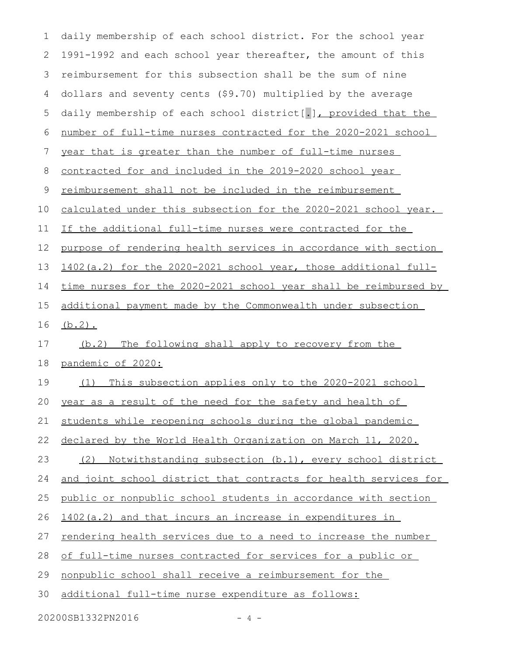| $\mathbf 1$ | daily membership of each school district. For the school year    |
|-------------|------------------------------------------------------------------|
| 2           | 1991-1992 and each school year thereafter, the amount of this    |
| 3           | reimbursement for this subsection shall be the sum of nine       |
| 4           | dollars and seventy cents (\$9.70) multiplied by the average     |
| 5           | daily membership of each school district[.], provided that the   |
| 6           | number of full-time nurses contracted for the 2020-2021 school   |
| 7           | year that is greater than the number of full-time nurses         |
| 8           | contracted for and included in the 2019-2020 school year         |
| 9           | reimbursement shall not be included in the reimbursement         |
| 10          | calculated under this subsection for the 2020-2021 school year.  |
| 11          | If the additional full-time nurses were contracted for the       |
| 12          | purpose of rendering health services in accordance with section  |
| 13          | 1402(a.2) for the 2020-2021 school year, those additional full-  |
| 14          | time nurses for the 2020-2021 school year shall be reimbursed by |
| 15          | additional payment made by the Commonwealth under subsection     |
| 16          | $(b.2)$ .                                                        |
| 17          | (b.2) The following shall apply to recovery from the             |
| 18          | pandemic of 2020:                                                |
| 19          | This subsection applies only to the 2020-2021 school<br>(1)      |
| 20          | year as a result of the need for the safety and health of        |
| 21          | students while reopening schools during the global pandemic      |
| 22          | declared by the World Health Organization on March 11, 2020.     |
| 23          | Notwithstanding subsection (b.1), every school district<br>(2)   |
| 24          | and joint school district that contracts for health services for |
| 25          | public or nonpublic school students in accordance with section   |
| 26          | 1402(a.2) and that incurs an increase in expenditures in         |
| 27          |                                                                  |
|             | rendering health services due to a need to increase the number   |
| 28          | of full-time nurses contracted for services for a public or      |
| 29          | nonpublic school shall receive a reimbursement for the           |
| 30          | additional full-time nurse expenditure as follows:               |

20200SB1332PN2016 - 4 -